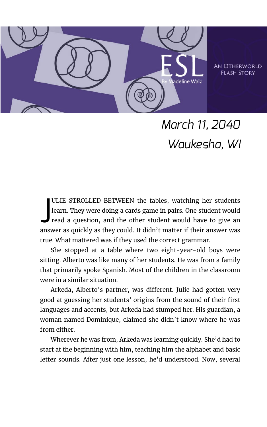

**AN OTHERWORLD FIASH STORY** 

## *March 11, 2040 Waukesha, WI*

ULIE STROLLED BETWEEN the tables, watching her students learn. They were doing a cards game in pairs. One student would read a question, and the other student would have to give an answer as quickly as they could. It didn't matter if their answer was true. What mattered was if they used the correct grammar. J

She stopped at a table where two eight-year-old boys were sitting. Alberto was like many of her students. He was from a family that primarily spoke Spanish. Most of the children in the classroom were in a similar situation.

Arkeda, Alberto's partner, was different. Julie had gotten very good at guessing her students' origins from the sound of their first languages and accents, but Arkeda had stumped her. His guardian, a woman named Dominique, claimed she didn't know where he was from either.

Wherever he was from, Arkeda was learning quickly. She'd had to start at the beginning with him, teaching him the alphabet and basic letter sounds. After just one lesson, he'd understood. Now, several